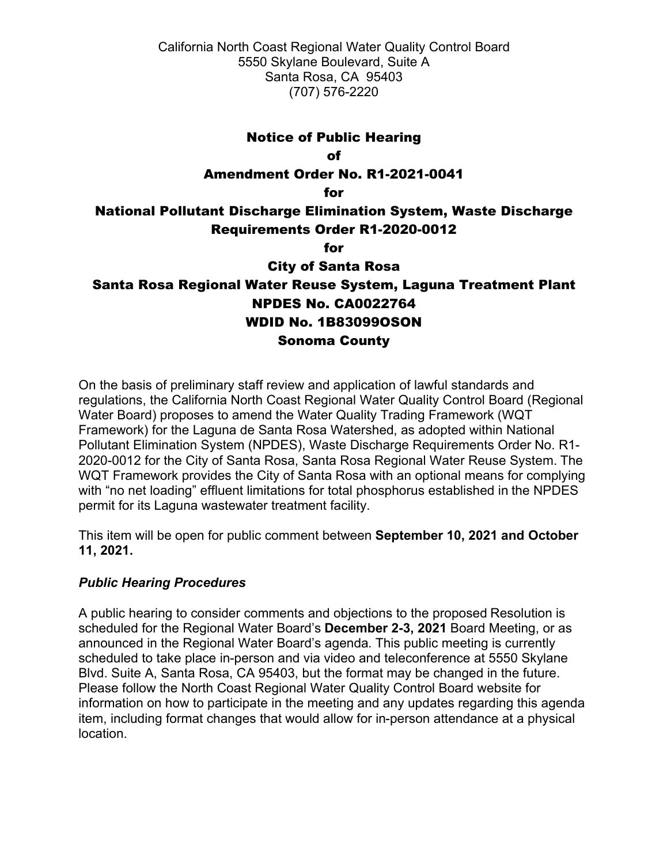California North Coast Regional Water Quality Control Board 5550 Skylane Boulevard, Suite A Santa Rosa, CA 95403 (707) 576-2220

#### Notice of Public Hearing

of

#### Amendment Order No. R1-2021-0041

for

# National Pollutant Discharge Elimination System, Waste Discharge Requirements Order R1-2020-0012

for

City of Santa Rosa

# Santa Rosa Regional Water Reuse System, Laguna Treatment Plant NPDES No. CA0022764 WDID No. 1B83099OSON Sonoma County

On the basis of preliminary staff review and application of lawful standards and regulations, the California North Coast Regional Water Quality Control Board (Regional Water Board) proposes to amend the Water Quality Trading Framework (WQT Framework) for the Laguna de Santa Rosa Watershed, as adopted within National Pollutant Elimination System (NPDES), Waste Discharge Requirements Order No. R1- 2020-0012 for the City of Santa Rosa, Santa Rosa Regional Water Reuse System. The WQT Framework provides the City of Santa Rosa with an optional means for complying with "no net loading" effluent limitations for total phosphorus established in the NPDES permit for its Laguna wastewater treatment facility.

This item will be open for public comment between **September 10, 2021 and October 11, 2021.**

### *Public Hearing Procedures*

A public hearing to consider comments and objections to the proposed Resolution is scheduled for the Regional Water Board's **December 2-3, 2021** Board Meeting, or as announced in the Regional Water Board's agenda. This public meeting is currently scheduled to take place in-person and via video and teleconference at 5550 Skylane Blvd. Suite A, Santa Rosa, CA 95403, but the format may be changed in the future. Please follow the North Coast Regional Water Quality Control Board website for information on how to participate in the meeting and any updates regarding this agenda item, including format changes that would allow for in-person attendance at a physical location.